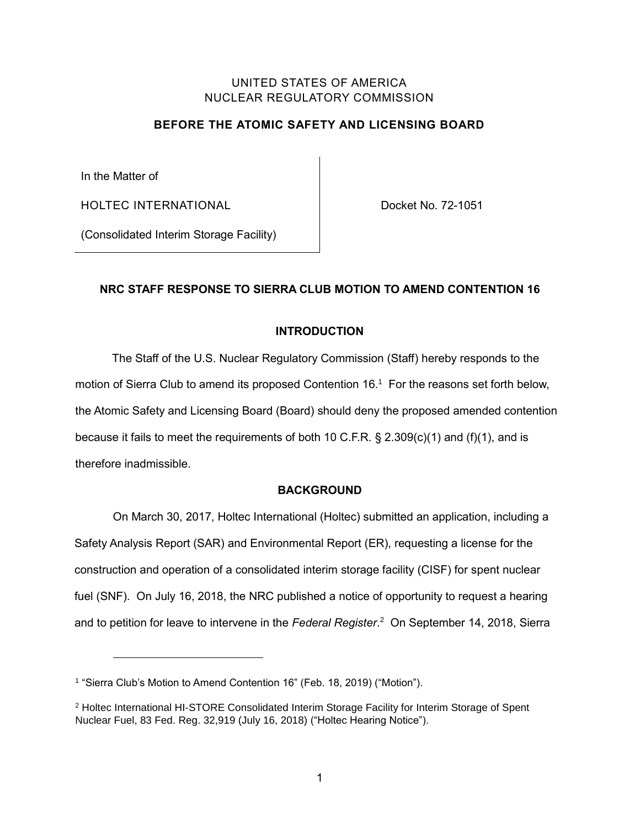## UNITED STATES OF AMERICA NUCLEAR REGULATORY COMMISSION

# **BEFORE THE ATOMIC SAFETY AND LICENSING BOARD**

In the Matter of

HOLTEC INTERNATIONAL

Docket No. 72-1051

(Consolidated Interim Storage Facility)

# **NRC STAFF RESPONSE TO SIERRA CLUB MOTION TO AMEND CONTENTION 16**

# **INTRODUCTION**

The Staff of the U.S. Nuclear Regulatory Commission (Staff) hereby responds to the motion of Sierra Club to amend its proposed Contention 16. 1 For the reasons set forth below, the Atomic Safety and Licensing Board (Board) should deny the proposed amended contention because it fails to meet the requirements of both 10 C.F.R.  $\S$  2.309(c)(1) and (f)(1), and is therefore inadmissible.

## **BACKGROUND**

On March 30, 2017, Holtec International (Holtec) submitted an application, including a Safety Analysis Report (SAR) and Environmental Report (ER), requesting a license for the construction and operation of a consolidated interim storage facility (CISF) for spent nuclear fuel (SNF). On July 16, 2018, the NRC published a notice of opportunity to request a hearing and to petition for leave to intervene in the *Federal Register*. 2 On September 14, 2018, Sierra

<sup>1</sup> "Sierra Club's Motion to Amend Contention 16" (Feb. 18, 2019) ("Motion").

<sup>2</sup> Holtec International HI-STORE Consolidated Interim Storage Facility for Interim Storage of Spent Nuclear Fuel, 83 Fed. Reg. 32,919 (July 16, 2018) ("Holtec Hearing Notice").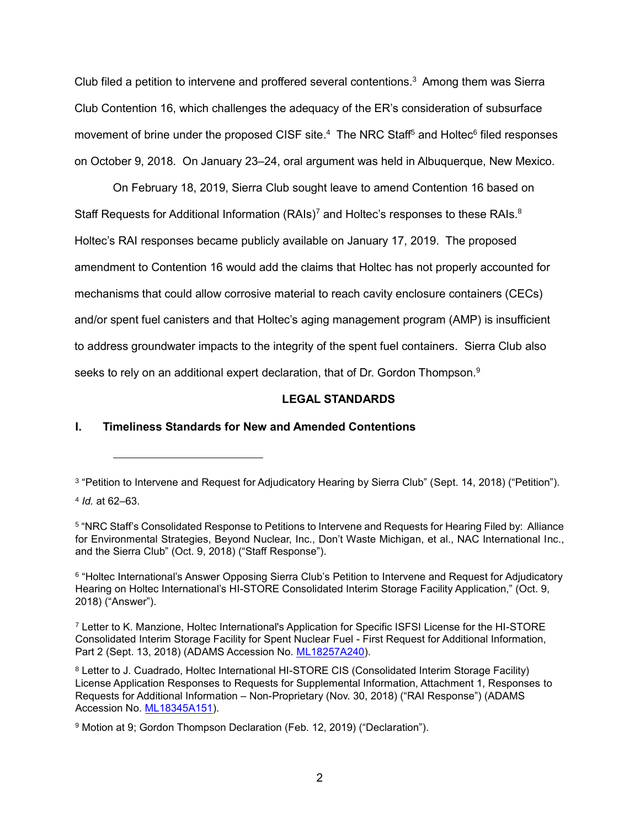Club filed a petition to intervene and proffered several contentions. $3$  Among them was Sierra Club Contention 16, which challenges the adequacy of the ER's consideration of subsurface movement of brine under the proposed CISF site.<sup>4</sup> The NRC Staff<sup>5</sup> and Holtec<sup>6</sup> filed responses on October 9, 2018. On January 23–24, oral argument was held in Albuquerque, New Mexico.

On February 18, 2019, Sierra Club sought leave to amend Contention 16 based on Staff Requests for Additional Information  $(RAIs)^7$  and Holtec's responses to these RAIs. $8$ Holtec's RAI responses became publicly available on January 17, 2019. The proposed amendment to Contention 16 would add the claims that Holtec has not properly accounted for mechanisms that could allow corrosive material to reach cavity enclosure containers (CECs) and/or spent fuel canisters and that Holtec's aging management program (AMP) is insufficient to address groundwater impacts to the integrity of the spent fuel containers. Sierra Club also seeks to rely on an additional expert declaration, that of Dr. Gordon Thompson.<sup>9</sup>

# **LEGAL STANDARDS**

# **I. Timeliness Standards for New and Amended Contentions**

<sup>3</sup> "Petition to Intervene and Request for Adjudicatory Hearing by Sierra Club" (Sept. 14, 2018) ("Petition").

<sup>4</sup> *Id.* at 62–63.

<sup>5</sup> "NRC Staff's Consolidated Response to Petitions to Intervene and Requests for Hearing Filed by: Alliance for Environmental Strategies, Beyond Nuclear, Inc., Don't Waste Michigan, et al., NAC International Inc., and the Sierra Club" (Oct. 9, 2018) ("Staff Response").

<sup>6</sup> "Holtec International's Answer Opposing Sierra Club's Petition to Intervene and Request for Adjudicatory Hearing on Holtec International's HI-STORE Consolidated Interim Storage Facility Application," (Oct. 9, 2018) ("Answer").

<sup>7</sup> Letter to K. Manzione, Holtec International's Application for Specific ISFSI License for the HI-STORE Consolidated Interim Storage Facility for Spent Nuclear Fuel - First Request for Additional Information, Part 2 (Sept. 13, 2018) (ADAMS Accession No. [ML18257A240\)](https://www.nrc.gov/docs/ML1825/ML18257A240.pdf#view=fit).

<sup>8</sup> Letter to J. Cuadrado, Holtec International HI-STORE CIS (Consolidated Interim Storage Facility) License Application Responses to Requests for Supplemental Information, Attachment 1, Responses to Requests for Additional Information – Non-Proprietary (Nov. 30, 2018) ("RAI Response") (ADAMS Accession No. [ML18345A151\)](https://www.nrc.gov/docs/ML1901/ML19016A481.pdf).

<sup>9</sup> Motion at 9; Gordon Thompson Declaration (Feb. 12, 2019) ("Declaration").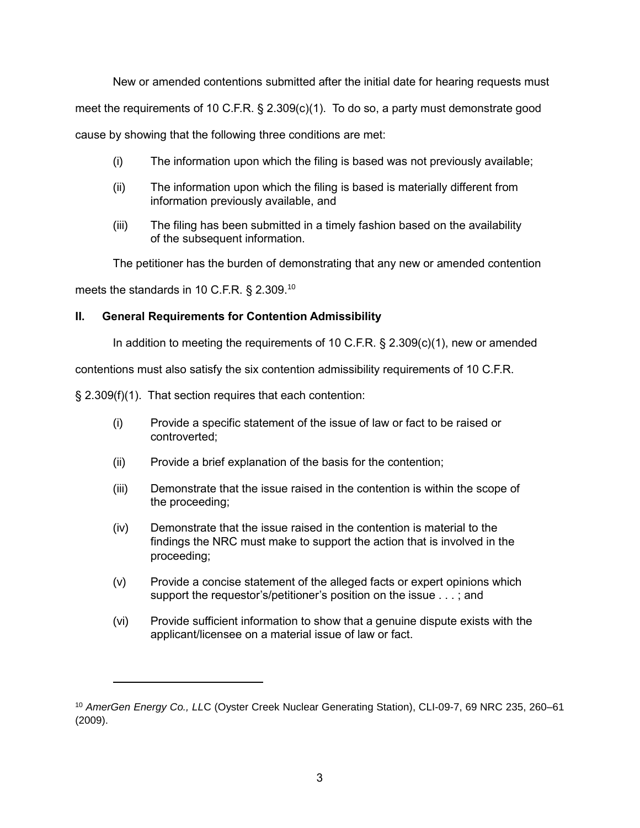New or amended contentions submitted after the initial date for hearing requests must

meet the requirements of 10 C.F.R. § 2.309(c)(1). To do so, a party must demonstrate good

cause by showing that the following three conditions are met:

- (i) The information upon which the filing is based was not previously available;
- (ii) The information upon which the filing is based is materially different from information previously available, and
- (iii) The filing has been submitted in a timely fashion based on the availability of the subsequent information.

The petitioner has the burden of demonstrating that any new or amended contention

meets the standards in 10 C.F.R.  $\S$  2.309.<sup>10</sup>

## **II. General Requirements for Contention Admissibility**

In addition to meeting the requirements of 10 C.F.R. § 2.309(c)(1), new or amended

contentions must also satisfy the six contention admissibility requirements of 10 C.F.R.

§ 2.309(f)(1). That section requires that each contention:

- (i) Provide a specific statement of the issue of law or fact to be raised or controverted;
- (ii) Provide a brief explanation of the basis for the contention;
- (iii) Demonstrate that the issue raised in the contention is within the scope of the proceeding;
- (iv) Demonstrate that the issue raised in the contention is material to the findings the NRC must make to support the action that is involved in the proceeding;
- (v) Provide a concise statement of the alleged facts or expert opinions which support the requestor's/petitioner's position on the issue . . . ; and
- (vi) Provide sufficient information to show that a genuine dispute exists with the applicant/licensee on a material issue of law or fact.

<sup>10</sup> *AmerGen Energy Co., LL*C (Oyster Creek Nuclear Generating Station), CLI-09-7, 69 NRC 235, 260–61 (2009).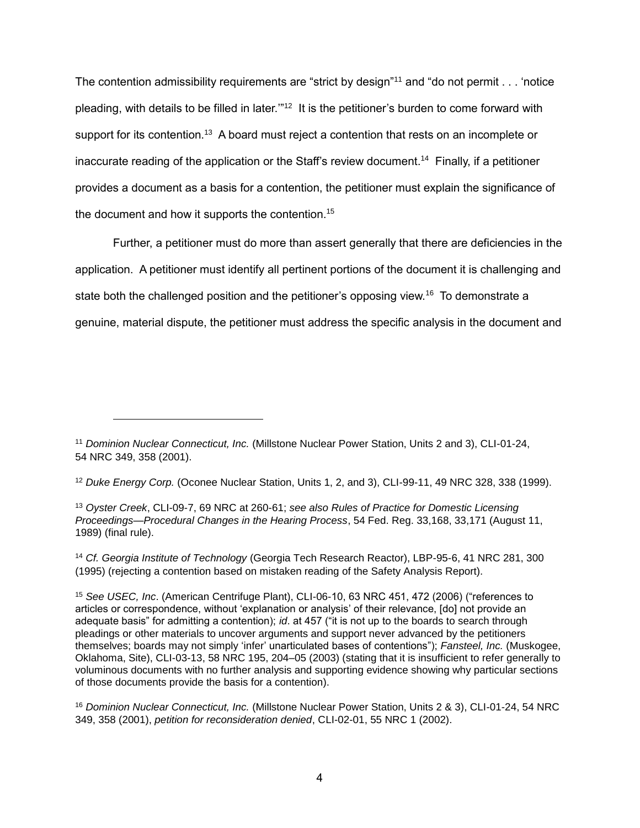The contention admissibility requirements are "strict by design"<sup>11</sup> and "do not permit . . . 'notice pleading, with details to be filled in later."<sup>12</sup> It is the petitioner's burden to come forward with support for its contention.<sup>13</sup> A board must reject a contention that rests on an incomplete or inaccurate reading of the application or the Staff's review document.<sup>14</sup> Finally, if a petitioner provides a document as a basis for a contention, the petitioner must explain the significance of the document and how it supports the contention.<sup>15</sup>

Further, a petitioner must do more than assert generally that there are deficiencies in the application. A petitioner must identify all pertinent portions of the document it is challenging and state both the challenged position and the petitioner's opposing view.<sup>16</sup> To demonstrate a genuine, material dispute, the petitioner must address the specific analysis in the document and

<sup>12</sup> *Duke Energy Corp.* (Oconee Nuclear Station, Units 1, 2, and 3), CLI-99-11, 49 NRC 328, 338 (1999).

<sup>13</sup> *Oyster Creek*, CLI-09-7, 69 NRC at 260-61; *see also Rules of Practice for Domestic Licensing Proceedings*—*Procedural Changes in the Hearing Process*, 54 Fed. Reg. 33,168, 33,171 (August 11, 1989) (final rule).

<sup>14</sup> *Cf. Georgia Institute of Technology* (Georgia Tech Research Reactor), LBP-95-6, 41 NRC 281, 300 (1995) (rejecting a contention based on mistaken reading of the Safety Analysis Report).

<sup>15</sup> *See USEC, Inc*. (American Centrifuge Plant), CLI-06-10, 63 NRC 451, 472 (2006) ("references to articles or correspondence, without 'explanation or analysis' of their relevance, [do] not provide an adequate basis" for admitting a contention); *id*. at 457 ("it is not up to the boards to search through pleadings or other materials to uncover arguments and support never advanced by the petitioners themselves; boards may not simply 'infer' unarticulated bases of contentions"); *Fansteel, Inc.* (Muskogee, Oklahoma, Site), CLI-03-13, 58 NRC 195, 204–05 (2003) (stating that it is insufficient to refer generally to voluminous documents with no further analysis and supporting evidence showing why particular sections of those documents provide the basis for a contention).

<sup>16</sup> *Dominion Nuclear Connecticut, Inc.* (Millstone Nuclear Power Station, Units 2 & 3), CLI-01-24, 54 NRC 349, 358 (2001), *petition for reconsideration denied*, CLI-02-01, 55 NRC 1 (2002).

<sup>&</sup>lt;sup>11</sup> Dominion Nuclear Connecticut, Inc. (Millstone Nuclear Power Station, Units 2 and 3), CLI-01-24, 54 NRC 349, 358 (2001).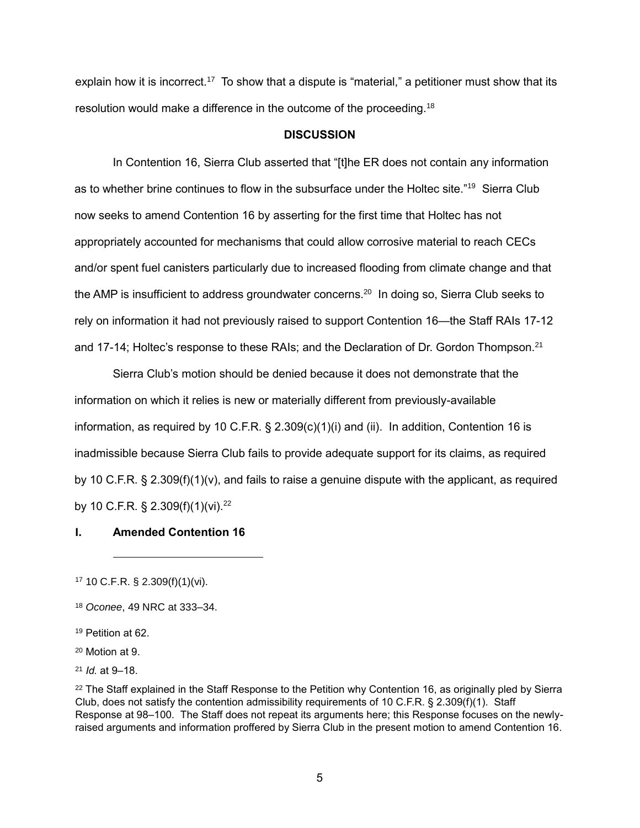explain how it is incorrect.<sup>17</sup> To show that a dispute is "material," a petitioner must show that its resolution would make a difference in the outcome of the proceeding.<sup>18</sup>

#### **DISCUSSION**

In Contention 16, Sierra Club asserted that "[t]he ER does not contain any information as to whether brine continues to flow in the subsurface under the Holtec site."<sup>19</sup> Sierra Club now seeks to amend Contention 16 by asserting for the first time that Holtec has not appropriately accounted for mechanisms that could allow corrosive material to reach CECs and/or spent fuel canisters particularly due to increased flooding from climate change and that the AMP is insufficient to address groundwater concerns.<sup>20</sup> In doing so, Sierra Club seeks to rely on information it had not previously raised to support Contention 16—the Staff RAIs 17-12 and 17-14; Holtec's response to these RAIs; and the Declaration of Dr. Gordon Thompson.<sup>21</sup>

Sierra Club's motion should be denied because it does not demonstrate that the information on which it relies is new or materially different from previously-available information, as required by 10 C.F.R.  $\S$  2.309(c)(1)(i) and (ii). In addition, Contention 16 is inadmissible because Sierra Club fails to provide adequate support for its claims, as required by 10 C.F.R. § 2.309(f)(1)(v), and fails to raise a genuine dispute with the applicant, as required by 10 C.F.R. § 2.309(f)(1)(vi).<sup>22</sup>

#### **I. Amended Contention 16**

<sup>17</sup> 10 C.F.R. § 2.309(f)(1)(vi).

<sup>18</sup> *Oconee*, 49 NRC at 333–34.

<sup>19</sup> Petition at 62.

<sup>20</sup> Motion at 9.

<sup>21</sup> *Id.* at 9–18.

<sup>&</sup>lt;sup>22</sup> The Staff explained in the Staff Response to the Petition why Contention 16, as originally pled by Sierra Club, does not satisfy the contention admissibility requirements of 10 C.F.R. § 2.309(f)(1). Staff Response at 98–100. The Staff does not repeat its arguments here; this Response focuses on the newlyraised arguments and information proffered by Sierra Club in the present motion to amend Contention 16.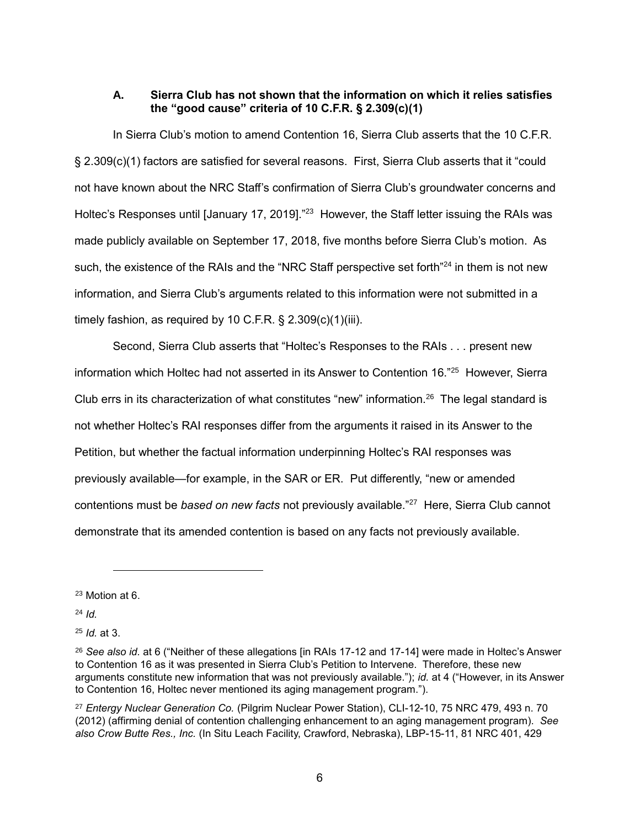### **A. Sierra Club has not shown that the information on which it relies satisfies the "good cause" criteria of 10 C.F.R. § 2.309(c)(1)**

In Sierra Club's motion to amend Contention 16, Sierra Club asserts that the 10 C.F.R. § 2.309(c)(1) factors are satisfied for several reasons. First, Sierra Club asserts that it "could not have known about the NRC Staff's confirmation of Sierra Club's groundwater concerns and Holtec's Responses until [January 17, 2019]."<sup>23</sup> However, the Staff letter issuing the RAIs was made publicly available on September 17, 2018, five months before Sierra Club's motion. As such, the existence of the RAIs and the "NRC Staff perspective set forth"<sup>24</sup> in them is not new information, and Sierra Club's arguments related to this information were not submitted in a timely fashion, as required by 10 C.F.R.  $\S$  2.309(c)(1)(iii).

Second, Sierra Club asserts that "Holtec's Responses to the RAIs . . . present new information which Holtec had not asserted in its Answer to Contention 16."<sup>25</sup> However, Sierra Club errs in its characterization of what constitutes "new" information. $^{26}$  The legal standard is not whether Holtec's RAI responses differ from the arguments it raised in its Answer to the Petition, but whether the factual information underpinning Holtec's RAI responses was previously available—for example, in the SAR or ER. Put differently, "new or amended contentions must be *based on new facts* not previously available."<sup>27</sup> Here, Sierra Club cannot demonstrate that its amended contention is based on any facts not previously available.

<sup>24</sup> *Id.*

<sup>25</sup> *Id.* at 3.

<sup>23</sup> Motion at 6.

<sup>26</sup> *See also id.* at 6 ("Neither of these allegations [in RAIs 17-12 and 17-14] were made in Holtec's Answer to Contention 16 as it was presented in Sierra Club's Petition to Intervene. Therefore, these new arguments constitute new information that was not previously available."); *id.* at 4 ("However, in its Answer to Contention 16, Holtec never mentioned its aging management program.").

<sup>27</sup> *Entergy Nuclear Generation Co.* (Pilgrim Nuclear Power Station), CLI-12-10, 75 NRC 479, 493 n. 70 (2012) (affirming denial of contention challenging enhancement to an aging management program). *See also Crow Butte Res., Inc.* (In Situ Leach Facility, Crawford, Nebraska), LBP-15-11, 81 NRC 401, 429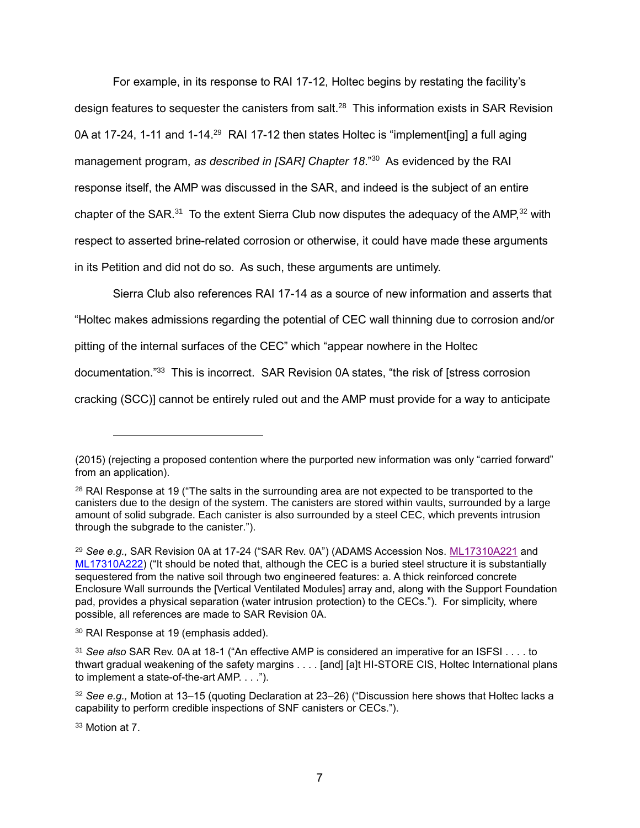For example, in its response to RAI 17-12, Holtec begins by restating the facility's design features to sequester the canisters from salt.<sup>28</sup> This information exists in SAR Revision 0A at 17-24, 1-11 and 1-14.<sup>29</sup> RAI 17-12 then states Holtec is "implement[ing] a full aging management program, *as described in [SAR] Chapter 18*."<sup>30</sup> As evidenced by the RAI response itself, the AMP was discussed in the SAR, and indeed is the subject of an entire chapter of the SAR. $31$  To the extent Sierra Club now disputes the adequacy of the AMP, $32$  with respect to asserted brine-related corrosion or otherwise, it could have made these arguments in its Petition and did not do so. As such, these arguments are untimely.

Sierra Club also references RAI 17-14 as a source of new information and asserts that "Holtec makes admissions regarding the potential of CEC wall thinning due to corrosion and/or pitting of the internal surfaces of the CEC" which "appear nowhere in the Holtec documentation."<sup>33</sup> This is incorrect. SAR Revision 0A states, "the risk of [stress corrosion cracking (SCC)] cannot be entirely ruled out and the AMP must provide for a way to anticipate

<sup>33</sup> Motion at 7.

<sup>(2015) (</sup>rejecting a proposed contention where the purported new information was only "carried forward" from an application).

<sup>&</sup>lt;sup>28</sup> RAI Response at 19 ("The salts in the surrounding area are not expected to be transported to the canisters due to the design of the system. The canisters are stored within vaults, surrounded by a large amount of solid subgrade. Each canister is also surrounded by a steel CEC, which prevents intrusion through the subgrade to the canister.").

<sup>29</sup> *See e.g.,* SAR Revision 0A at 17-24 ("SAR Rev. 0A") (ADAMS Accession Nos. [ML17310A221](https://www.nrc.gov/docs/ML1731/ML17310A221.pdf) and [ML17310A222\)](https://www.nrc.gov/docs/ML1731/ML17310A222.pdf) ("It should be noted that, although the CEC is a buried steel structure it is substantially sequestered from the native soil through two engineered features: a. A thick reinforced concrete Enclosure Wall surrounds the [Vertical Ventilated Modules] array and, along with the Support Foundation pad, provides a physical separation (water intrusion protection) to the CECs."). For simplicity, where possible, all references are made to SAR Revision 0A.

<sup>30</sup> RAI Response at 19 (emphasis added).

<sup>31</sup> *See also* SAR Rev. 0A at 18-1 ("An effective AMP is considered an imperative for an ISFSI . . . . to thwart gradual weakening of the safety margins . . . . [and] [a]t HI-STORE CIS, Holtec International plans to implement a state-of-the-art AMP. . . .").

<sup>32</sup> *See e.g.,* Motion at 13–15 (quoting Declaration at 23–26) ("Discussion here shows that Holtec lacks a capability to perform credible inspections of SNF canisters or CECs.").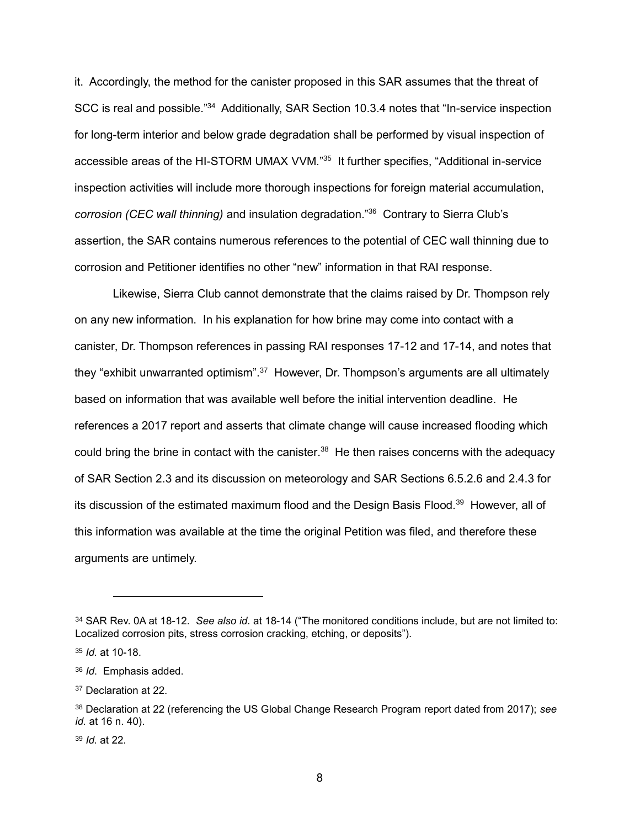it. Accordingly, the method for the canister proposed in this SAR assumes that the threat of SCC is real and possible."<sup>34</sup> Additionally, SAR Section 10.3.4 notes that "In-service inspection for long-term interior and below grade degradation shall be performed by visual inspection of accessible areas of the HI-STORM UMAX VVM."<sup>35</sup> It further specifies, "Additional in-service inspection activities will include more thorough inspections for foreign material accumulation, *corrosion (CEC wall thinning)* and insulation degradation."<sup>36</sup> Contrary to Sierra Club's assertion, the SAR contains numerous references to the potential of CEC wall thinning due to corrosion and Petitioner identifies no other "new" information in that RAI response.

Likewise, Sierra Club cannot demonstrate that the claims raised by Dr. Thompson rely on any new information. In his explanation for how brine may come into contact with a canister, Dr. Thompson references in passing RAI responses 17-12 and 17-14, and notes that they "exhibit unwarranted optimism".<sup>37</sup> However, Dr. Thompson's arguments are all ultimately based on information that was available well before the initial intervention deadline. He references a 2017 report and asserts that climate change will cause increased flooding which could bring the brine in contact with the canister. $38$  He then raises concerns with the adequacy of SAR Section 2.3 and its discussion on meteorology and SAR Sections 6.5.2.6 and 2.4.3 for its discussion of the estimated maximum flood and the Design Basis Flood.<sup>39</sup> However, all of this information was available at the time the original Petition was filed, and therefore these arguments are untimely.

 $\overline{a}$ 

<sup>39</sup> *Id.* at 22.

<sup>34</sup> SAR Rev. 0A at 18-12. *See also id.* at 18-14 ("The monitored conditions include, but are not limited to: Localized corrosion pits, stress corrosion cracking, etching, or deposits").

<sup>35</sup> *Id.* at 10-18.

<sup>36</sup> *Id*. Emphasis added.

<sup>37</sup> Declaration at 22.

<sup>38</sup> Declaration at 22 (referencing the US Global Change Research Program report dated from 2017); *see id.* at 16 n. 40).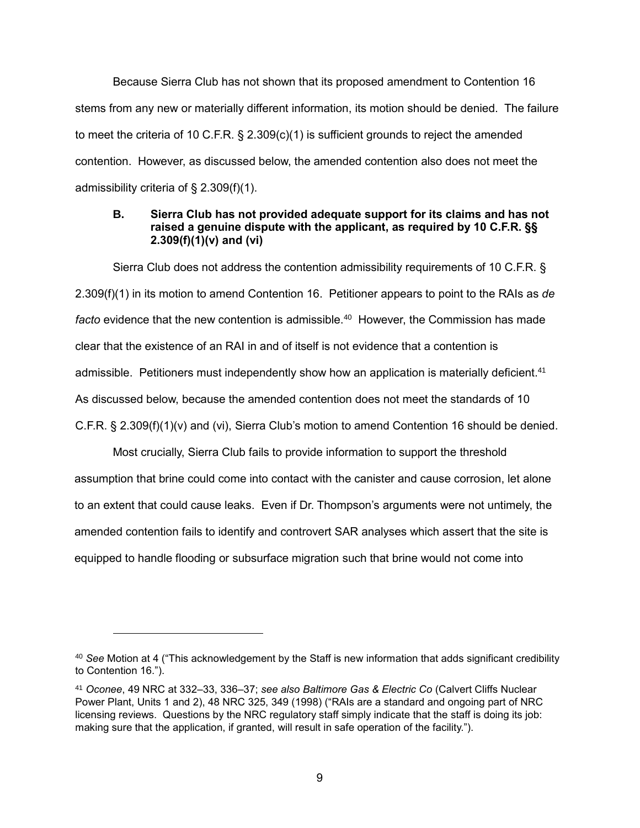Because Sierra Club has not shown that its proposed amendment to Contention 16 stems from any new or materially different information, its motion should be denied. The failure to meet the criteria of 10 C.F.R. § 2.309(c)(1) is sufficient grounds to reject the amended contention. However, as discussed below, the amended contention also does not meet the admissibility criteria of § 2.309(f)(1).

### **B. Sierra Club has not provided adequate support for its claims and has not raised a genuine dispute with the applicant, as required by 10 C.F.R. §§ 2.309(f)(1)(v) and (vi)**

Sierra Club does not address the contention admissibility requirements of 10 C.F.R. § 2.309(f)(1) in its motion to amend Contention 16. Petitioner appears to point to the RAIs as *de*  facto evidence that the new contention is admissible.<sup>40</sup> However, the Commission has made clear that the existence of an RAI in and of itself is not evidence that a contention is admissible. Petitioners must independently show how an application is materially deficient.<sup>41</sup> As discussed below, because the amended contention does not meet the standards of 10 C.F.R. § 2.309(f)(1)(v) and (vi), Sierra Club's motion to amend Contention 16 should be denied.

Most crucially, Sierra Club fails to provide information to support the threshold assumption that brine could come into contact with the canister and cause corrosion, let alone to an extent that could cause leaks. Even if Dr. Thompson's arguments were not untimely, the amended contention fails to identify and controvert SAR analyses which assert that the site is equipped to handle flooding or subsurface migration such that brine would not come into

<sup>40</sup> *See* Motion at 4 ("This acknowledgement by the Staff is new information that adds significant credibility to Contention 16.").

<sup>41</sup> *Oconee*, 49 NRC at 332–33, 336–37; *see also Baltimore Gas & Electric Co* (Calvert Cliffs Nuclear Power Plant, Units 1 and 2), 48 NRC 325, 349 (1998) ("RAIs are a standard and ongoing part of NRC licensing reviews. Questions by the NRC regulatory staff simply indicate that the staff is doing its job: making sure that the application, if granted, will result in safe operation of the facility.").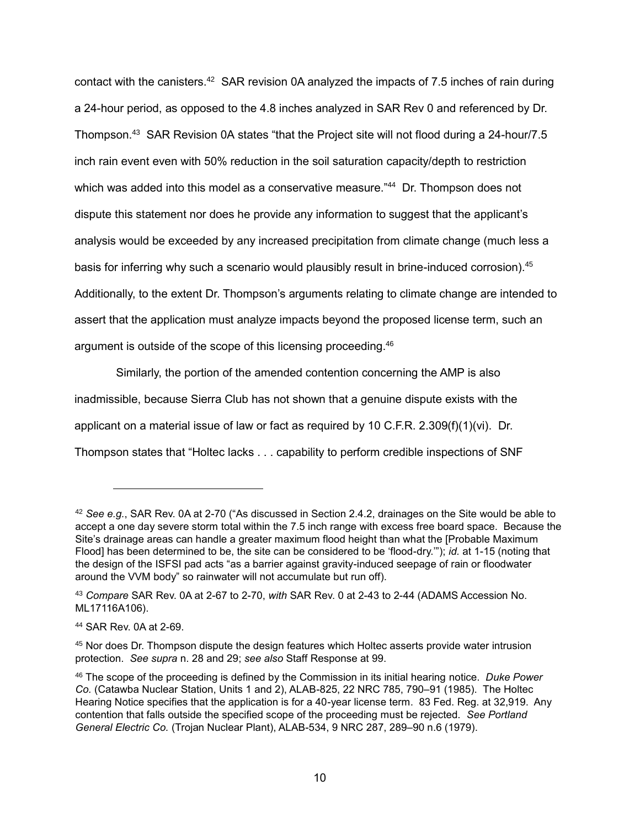contact with the canisters.<sup>42</sup> SAR revision 0A analyzed the impacts of 7.5 inches of rain during a 24-hour period, as opposed to the 4.8 inches analyzed in SAR Rev 0 and referenced by Dr. Thompson.<sup>43</sup> SAR Revision 0A states "that the Project site will not flood during a 24-hour/7.5 inch rain event even with 50% reduction in the soil saturation capacity/depth to restriction which was added into this model as a conservative measure."<sup>44</sup> Dr. Thompson does not dispute this statement nor does he provide any information to suggest that the applicant's analysis would be exceeded by any increased precipitation from climate change (much less a basis for inferring why such a scenario would plausibly result in brine-induced corrosion).<sup>45</sup> Additionally, to the extent Dr. Thompson's arguments relating to climate change are intended to assert that the application must analyze impacts beyond the proposed license term, such an argument is outside of the scope of this licensing proceeding. 46

Similarly, the portion of the amended contention concerning the AMP is also inadmissible, because Sierra Club has not shown that a genuine dispute exists with the applicant on a material issue of law or fact as required by 10 C.F.R. 2.309(f)(1)(vi). Dr. Thompson states that "Holtec lacks . . . capability to perform credible inspections of SNF

<sup>42</sup> *See e.g.*, SAR Rev. 0A at 2-70 ("As discussed in Section 2.4.2, drainages on the Site would be able to accept a one day severe storm total within the 7.5 inch range with excess free board space. Because the Site's drainage areas can handle a greater maximum flood height than what the [Probable Maximum Flood] has been determined to be, the site can be considered to be 'flood-dry.'"); *id.* at 1-15 (noting that the design of the ISFSI pad acts "as a barrier against gravity-induced seepage of rain or floodwater around the VVM body" so rainwater will not accumulate but run off).

<sup>43</sup> *Compare* SAR Rev. 0A at 2-67 to 2-70, *with* SAR Rev. 0 at 2-43 to 2-44 (ADAMS Accession No. ML17116A106).

<sup>44</sup> SAR Rev. 0A at 2-69.

<sup>45</sup> Nor does Dr. Thompson dispute the design features which Holtec asserts provide water intrusion protection. *See supra* n. 28 and 29; *see also* Staff Response at 99.

<sup>46</sup> The scope of the proceeding is defined by the Commission in its initial hearing notice. *Duke Power Co.* (Catawba Nuclear Station, Units 1 and 2), ALAB-825, 22 NRC 785, 790–91 (1985). The Holtec Hearing Notice specifies that the application is for a 40-year license term. 83 Fed. Reg. at 32,919. Any contention that falls outside the specified scope of the proceeding must be rejected. *See [Portland](https://1.next.westlaw.com/Link/Document/FullText?findType=Y&serNum=1979164241&pubNum=0000922&originatingDoc=I999094ff791f11dea82ab9f4ee295c21&refType=CA&fi=co_pp_sp_922_289&originationContext=document&transitionType=DocumentItem&contextData=(sc.UserEnteredCitation)#co_pp_sp_922_289)  General Electric Co.* [\(Trojan Nuclear Plant\), ALAB-534, 9 NRC 287, 289–90 n.6 \(1979\).](https://1.next.westlaw.com/Link/Document/FullText?findType=Y&serNum=1979164241&pubNum=0000922&originatingDoc=I999094ff791f11dea82ab9f4ee295c21&refType=CA&fi=co_pp_sp_922_289&originationContext=document&transitionType=DocumentItem&contextData=(sc.UserEnteredCitation)#co_pp_sp_922_289)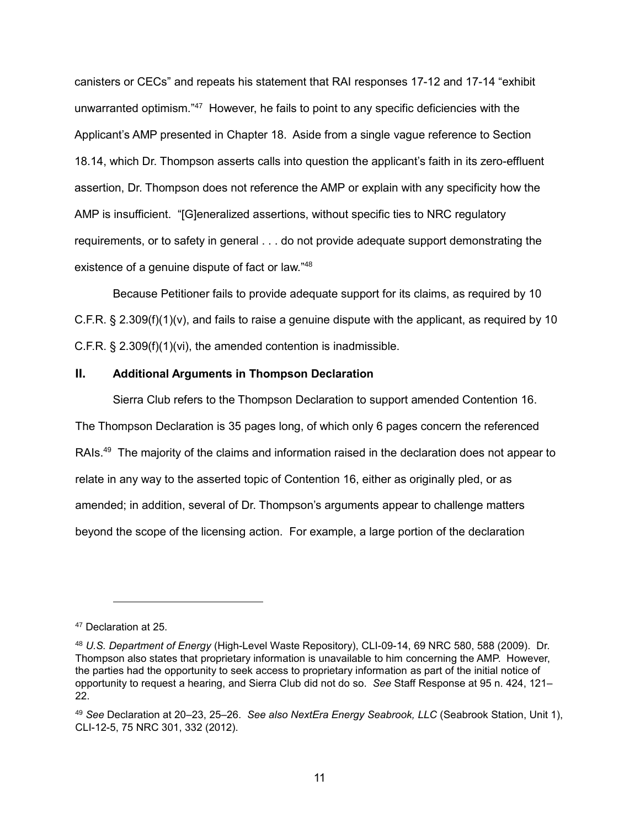canisters or CECs" and repeats his statement that RAI responses 17-12 and 17-14 "exhibit unwarranted optimism."<sup>47</sup> However, he fails to point to any specific deficiencies with the Applicant's AMP presented in Chapter 18. Aside from a single vague reference to Section 18.14, which Dr. Thompson asserts calls into question the applicant's faith in its zero-effluent assertion, Dr. Thompson does not reference the AMP or explain with any specificity how the AMP is insufficient. "[G]eneralized assertions, without specific ties to NRC regulatory requirements, or to safety in general . . . do not provide adequate support demonstrating the existence of a genuine dispute of fact or law."<sup>48</sup>

Because Petitioner fails to provide adequate support for its claims, as required by 10 C.F.R.  $\S 2.309(f)(1)(v)$ , and fails to raise a genuine dispute with the applicant, as required by 10 C.F.R. § 2.309(f)(1)(vi), the amended contention is inadmissible.

## **II. Additional Arguments in Thompson Declaration**

Sierra Club refers to the Thompson Declaration to support amended Contention 16. The Thompson Declaration is 35 pages long, of which only 6 pages concern the referenced RAIs.<sup>49</sup> The majority of the claims and information raised in the declaration does not appear to relate in any way to the asserted topic of Contention 16, either as originally pled, or as amended; in addition, several of Dr. Thompson's arguments appear to challenge matters beyond the scope of the licensing action. For example, a large portion of the declaration

<sup>47</sup> Declaration at 25.

<sup>48</sup> *U.S. Department of Energy* (High-Level Waste Repository), CLI-09-14, 69 NRC 580, 588 (2009). Dr. Thompson also states that proprietary information is unavailable to him concerning the AMP. However, the parties had the opportunity to seek access to proprietary information as part of the initial notice of opportunity to request a hearing, and Sierra Club did not do so. *See* Staff Response at 95 n. 424, 121– 22.

<sup>49</sup> *See* Declaration at 20–23, 25–26. *See also NextEra Energy Seabrook, LLC* (Seabrook Station, Unit 1), CLI-12-5, 75 NRC 301, 332 (2012).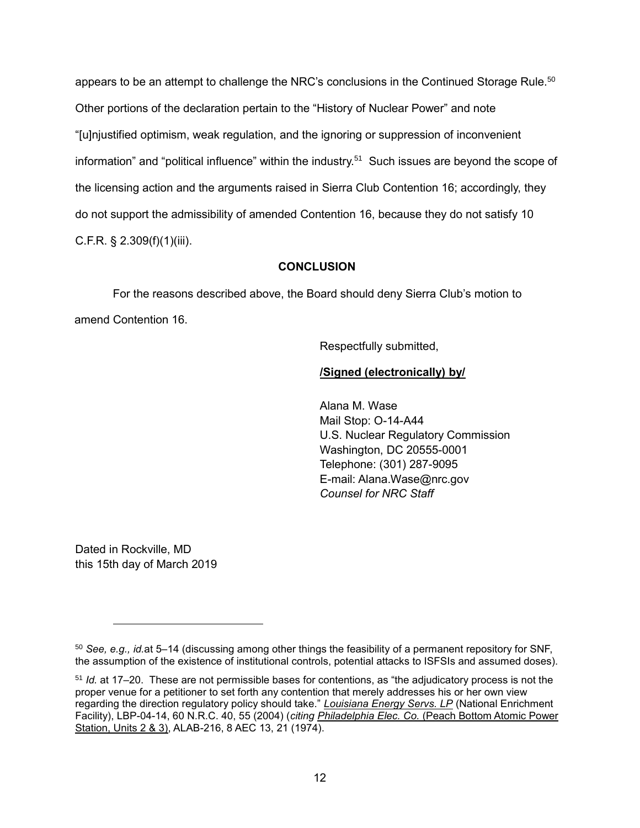appears to be an attempt to challenge the NRC's conclusions in the Continued Storage Rule.<sup>50</sup> Other portions of the declaration pertain to the "History of Nuclear Power" and note "[u]njustified optimism, weak regulation, and the ignoring or suppression of inconvenient information" and "political influence" within the industry.<sup>51</sup> Such issues are beyond the scope of the licensing action and the arguments raised in Sierra Club Contention 16; accordingly, they do not support the admissibility of amended Contention 16, because they do not satisfy 10 C.F.R. § 2.309(f)(1)(iii).

### **CONCLUSION**

For the reasons described above, the Board should deny Sierra Club's motion to amend Contention 16.

Respectfully submitted,

# **/Signed (electronically) by/**

Alana M. Wase Mail Stop: O-14-A44 U.S. Nuclear Regulatory Commission Washington, DC 20555-0001 Telephone: (301) 287-9095 E-mail: Alana.Wase@nrc.gov *Counsel for NRC Staff*

Dated in Rockville, MD this 15th day of March 2019

 $\overline{a}$ 

<sup>50</sup> *See, e.g., id.*at 5–14 (discussing among other things the feasibility of a permanent repository for SNF, the assumption of the existence of institutional controls, potential attacks to ISFSIs and assumed doses).

<sup>51</sup> *Id.* at 17–20. These are not permissible bases for contentions, as "the adjudicatory process is not the proper venue for a petitioner to set forth any contention that merely addresses his or her own view regarding the direction regulatory policy should take." *Louisiana Energy Servs. LP* (National Enrichment Facility), LBP-04-14, 60 N.R.C. 40, 55 (2004) (*citing Philadelphia Elec. Co.* (Peach Bottom Atomic Power Station, Units 2 & 3), ALAB-216, 8 AEC 13, 21 (1974).